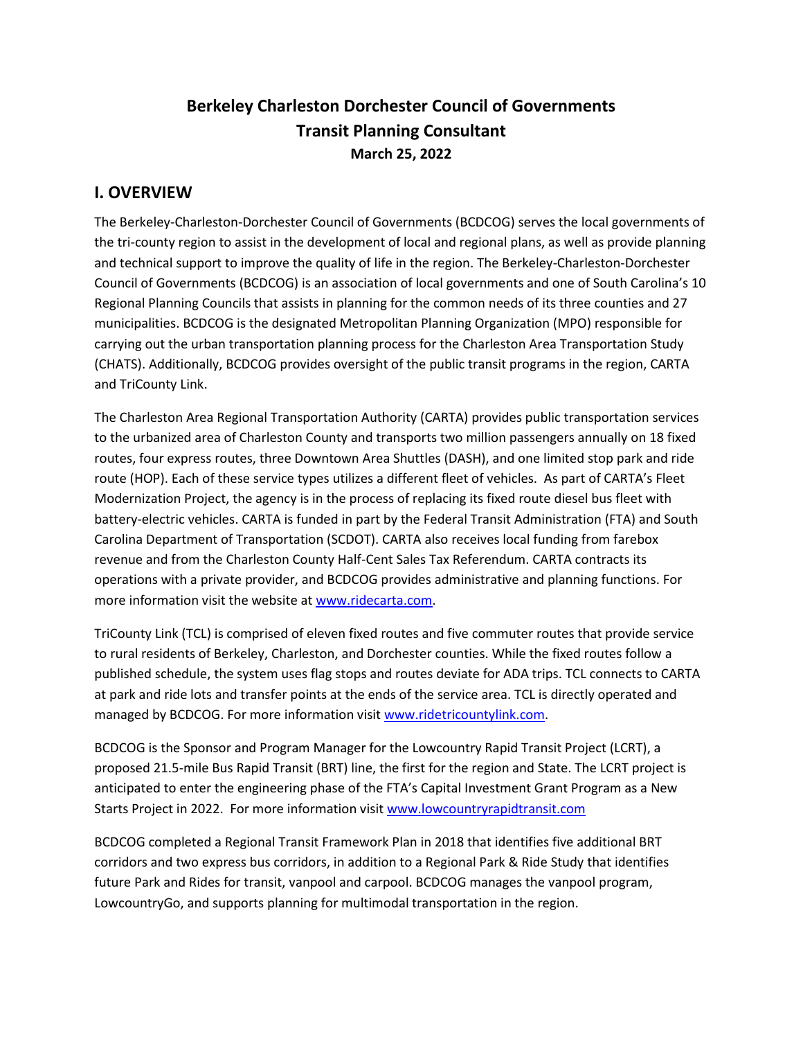# **Berkeley Charleston Dorchester Council of Governments Transit Planning Consultant March 25, 2022**

# **I. OVERVIEW**

The Berkeley-Charleston-Dorchester Council of Governments (BCDCOG) serves the local governments of the tri-county region to assist in the development of local and regional plans, as well as provide planning and technical support to improve the quality of life in the region. The Berkeley-Charleston-Dorchester Council of Governments (BCDCOG) is an association of local governments and one of South Carolina's 10 Regional Planning Councils that assists in planning for the common needs of its three counties and 27 municipalities. BCDCOG is the designated Metropolitan Planning Organization (MPO) responsible for carrying out the urban transportation planning process for the Charleston Area Transportation Study (CHATS). Additionally, BCDCOG provides oversight of the public transit programs in the region, CARTA and TriCounty Link.

The Charleston Area Regional Transportation Authority (CARTA) provides public transportation services to the urbanized area of Charleston County and transports two million passengers annually on 18 fixed routes, four express routes, three Downtown Area Shuttles (DASH), and one limited stop park and ride route (HOP). Each of these service types utilizes a different fleet of vehicles. As part of CARTA's Fleet Modernization Project, the agency is in the process of replacing its fixed route diesel bus fleet with battery-electric vehicles. CARTA is funded in part by the Federal Transit Administration (FTA) and South Carolina Department of Transportation (SCDOT). CARTA also receives local funding from farebox revenue and from the Charleston County Half-Cent Sales Tax Referendum. CARTA contracts its operations with a private provider, and BCDCOG provides administrative and planning functions. For more information visit the website at [www.ridecarta.com.](http://www.ridecarta.com/)

TriCounty Link (TCL) is comprised of eleven fixed routes and five commuter routes that provide service to rural residents of Berkeley, Charleston, and Dorchester counties. While the fixed routes follow a published schedule, the system uses flag stops and routes deviate for ADA trips. TCL connects to CARTA at park and ride lots and transfer points at the ends of the service area. TCL is directly operated and managed by BCDCOG. For more information visit [www.ridetricountylink.com.](http://www.ridetricountylink.com/)

BCDCOG is the Sponsor and Program Manager for the Lowcountry Rapid Transit Project (LCRT), a proposed 21.5-mile Bus Rapid Transit (BRT) line, the first for the region and State. The LCRT project is anticipated to enter the engineering phase of the FTA's Capital Investment Grant Program as a New Starts Project in 2022. For more information visit [www.lowcountryrapidtransit.com](http://www.lowcountryrapidtransit.com/)

BCDCOG completed a Regional Transit Framework Plan in 2018 that identifies five additional BRT corridors and two express bus corridors, in addition to a Regional Park & Ride Study that identifies future Park and Rides for transit, vanpool and carpool. BCDCOG manages the vanpool program, LowcountryGo, and supports planning for multimodal transportation in the region.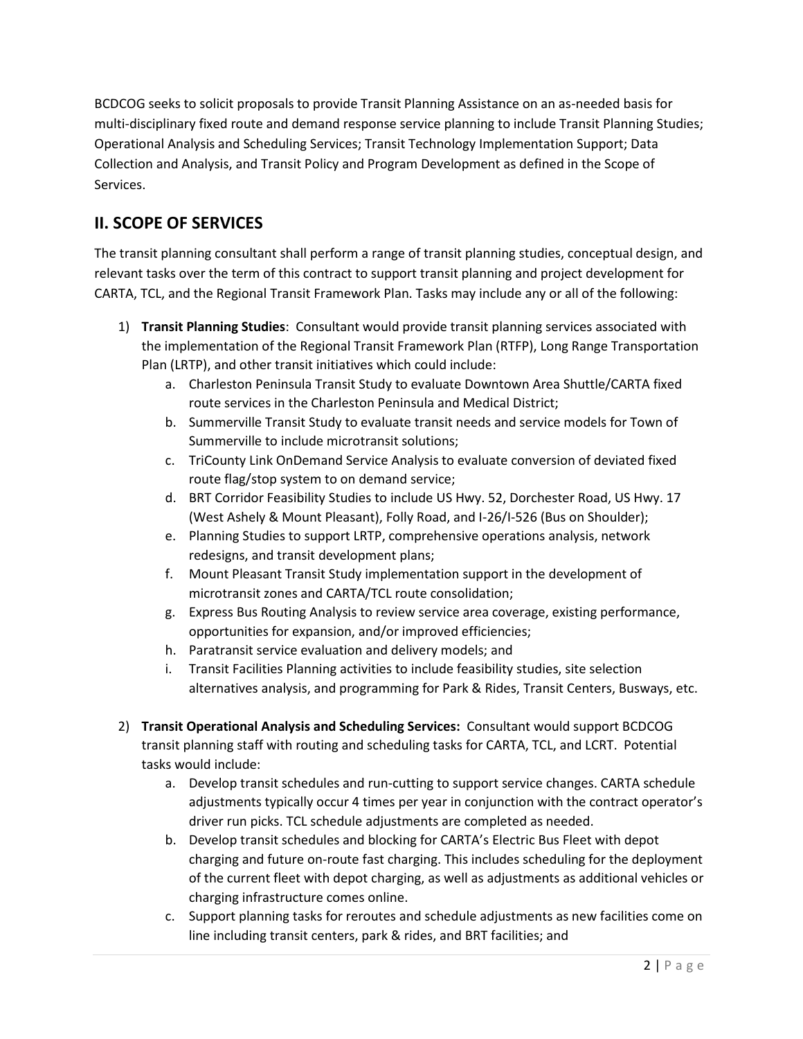BCDCOG seeks to solicit proposals to provide Transit Planning Assistance on an as-needed basis for multi-disciplinary fixed route and demand response service planning to include Transit Planning Studies; Operational Analysis and Scheduling Services; Transit Technology Implementation Support; Data Collection and Analysis, and Transit Policy and Program Development as defined in the Scope of Services.

# **II. SCOPE OF SERVICES**

The transit planning consultant shall perform a range of transit planning studies, conceptual design, and relevant tasks over the term of this contract to support transit planning and project development for CARTA, TCL, and the Regional Transit Framework Plan. Tasks may include any or all of the following:

- 1) **Transit Planning Studies**: Consultant would provide transit planning services associated with the implementation of the Regional Transit Framework Plan (RTFP), Long Range Transportation Plan (LRTP), and other transit initiatives which could include:
	- a. Charleston Peninsula Transit Study to evaluate Downtown Area Shuttle/CARTA fixed route services in the Charleston Peninsula and Medical District;
	- b. Summerville Transit Study to evaluate transit needs and service models for Town of Summerville to include microtransit solutions;
	- c. TriCounty Link OnDemand Service Analysis to evaluate conversion of deviated fixed route flag/stop system to on demand service;
	- d. BRT Corridor Feasibility Studies to include US Hwy. 52, Dorchester Road, US Hwy. 17 (West Ashely & Mount Pleasant), Folly Road, and I-26/I-526 (Bus on Shoulder);
	- e. Planning Studies to support LRTP, comprehensive operations analysis, network redesigns, and transit development plans;
	- f. Mount Pleasant Transit Study implementation support in the development of microtransit zones and CARTA/TCL route consolidation;
	- g. Express Bus Routing Analysis to review service area coverage, existing performance, opportunities for expansion, and/or improved efficiencies;
	- h. Paratransit service evaluation and delivery models; and
	- i. Transit Facilities Planning activities to include feasibility studies, site selection alternatives analysis, and programming for Park & Rides, Transit Centers, Busways, etc.
- 2) **Transit Operational Analysis and Scheduling Services:** Consultant would support BCDCOG transit planning staff with routing and scheduling tasks for CARTA, TCL, and LCRT. Potential tasks would include:
	- a. Develop transit schedules and run-cutting to support service changes. CARTA schedule adjustments typically occur 4 times per year in conjunction with the contract operator's driver run picks. TCL schedule adjustments are completed as needed.
	- b. Develop transit schedules and blocking for CARTA's Electric Bus Fleet with depot charging and future on-route fast charging. This includes scheduling for the deployment of the current fleet with depot charging, as well as adjustments as additional vehicles or charging infrastructure comes online.
	- c. Support planning tasks for reroutes and schedule adjustments as new facilities come on line including transit centers, park & rides, and BRT facilities; and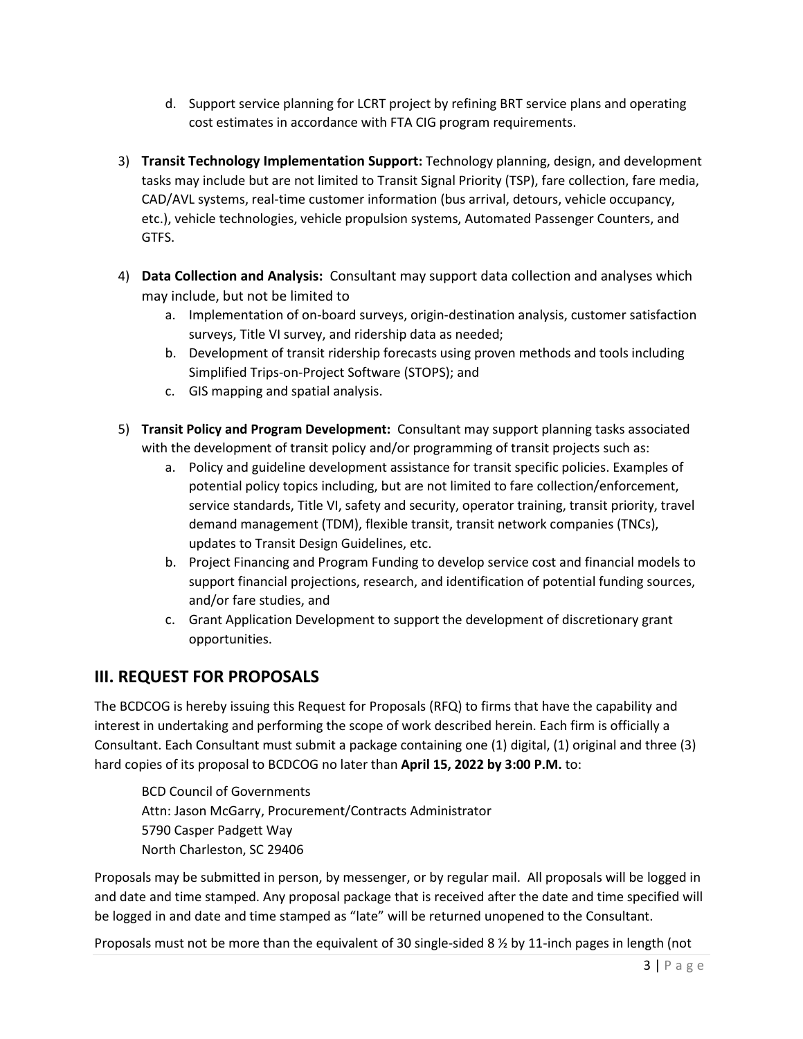- d. Support service planning for LCRT project by refining BRT service plans and operating cost estimates in accordance with FTA CIG program requirements.
- 3) **Transit Technology Implementation Support:** Technology planning, design, and development tasks may include but are not limited to Transit Signal Priority (TSP), fare collection, fare media, CAD/AVL systems, real-time customer information (bus arrival, detours, vehicle occupancy, etc.), vehicle technologies, vehicle propulsion systems, Automated Passenger Counters, and GTFS.
- 4) **Data Collection and Analysis:** Consultant may support data collection and analyses which may include, but not be limited to
	- a. Implementation of on-board surveys, origin-destination analysis, customer satisfaction surveys, Title VI survey, and ridership data as needed;
	- b. Development of transit ridership forecasts using proven methods and tools including Simplified Trips-on-Project Software (STOPS); and
	- c. GIS mapping and spatial analysis.
- 5) **Transit Policy and Program Development:** Consultant may support planning tasks associated with the development of transit policy and/or programming of transit projects such as:
	- a. Policy and guideline development assistance for transit specific policies. Examples of potential policy topics including, but are not limited to fare collection/enforcement, service standards, Title VI, safety and security, operator training, transit priority, travel demand management (TDM), flexible transit, transit network companies (TNCs), updates to Transit Design Guidelines, etc.
	- b. Project Financing and Program Funding to develop service cost and financial models to support financial projections, research, and identification of potential funding sources, and/or fare studies, and
	- c. Grant Application Development to support the development of discretionary grant opportunities.

# **III. REQUEST FOR PROPOSALS**

The BCDCOG is hereby issuing this Request for Proposals (RFQ) to firms that have the capability and interest in undertaking and performing the scope of work described herein. Each firm is officially a Consultant. Each Consultant must submit a package containing one (1) digital, (1) original and three (3) hard copies of its proposal to BCDCOG no later than **April 15, 2022 by 3:00 P.M.** to:

BCD Council of Governments Attn: Jason McGarry, Procurement/Contracts Administrator 5790 Casper Padgett Way North Charleston, SC 29406

Proposals may be submitted in person, by messenger, or by regular mail. All proposals will be logged in and date and time stamped. Any proposal package that is received after the date and time specified will be logged in and date and time stamped as "late" will be returned unopened to the Consultant.

Proposals must not be more than the equivalent of 30 single-sided 8 ½ by 11-inch pages in length (not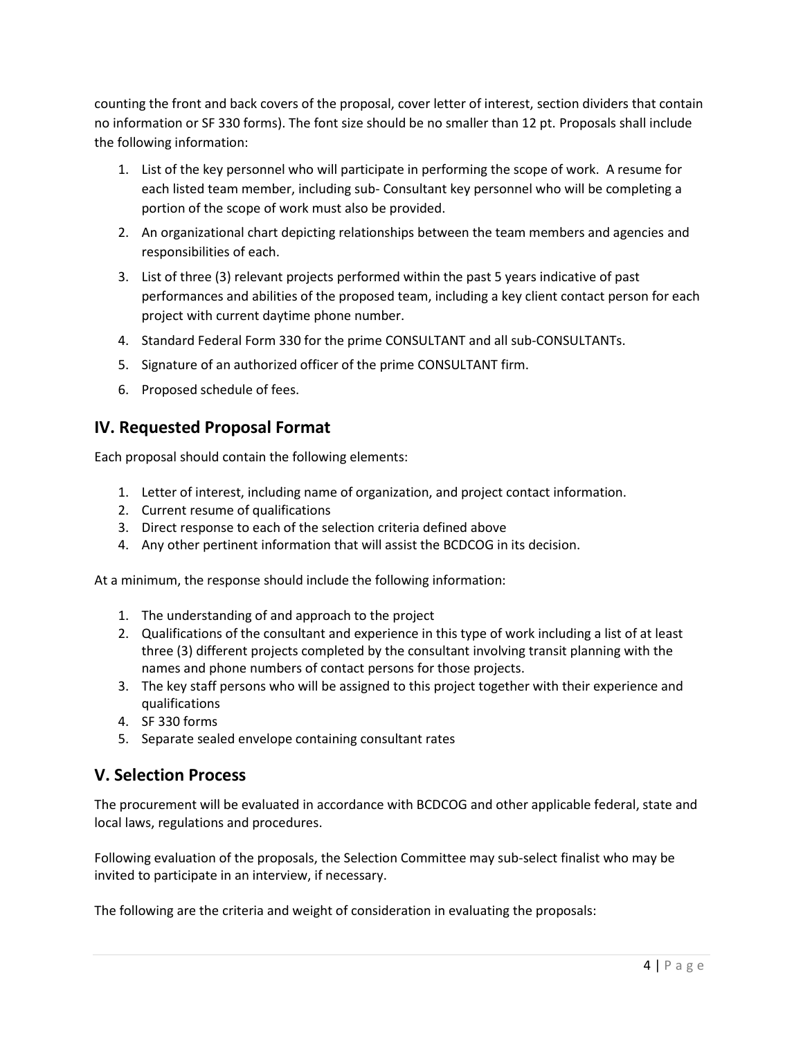counting the front and back covers of the proposal, cover letter of interest, section dividers that contain no information or SF 330 forms). The font size should be no smaller than 12 pt. Proposals shall include the following information:

- 1. List of the key personnel who will participate in performing the scope of work. A resume for each listed team member, including sub- Consultant key personnel who will be completing a portion of the scope of work must also be provided.
- 2. An organizational chart depicting relationships between the team members and agencies and responsibilities of each.
- 3. List of three (3) relevant projects performed within the past 5 years indicative of past performances and abilities of the proposed team, including a key client contact person for each project with current daytime phone number.
- 4. Standard Federal Form 330 for the prime CONSULTANT and all sub-CONSULTANTs.
- 5. Signature of an authorized officer of the prime CONSULTANT firm.
- 6. Proposed schedule of fees.

# **IV. Requested Proposal Format**

Each proposal should contain the following elements:

- 1. Letter of interest, including name of organization, and project contact information.
- 2. Current resume of qualifications
- 3. Direct response to each of the selection criteria defined above
- 4. Any other pertinent information that will assist the BCDCOG in its decision.

At a minimum, the response should include the following information:

- 1. The understanding of and approach to the project
- 2. Qualifications of the consultant and experience in this type of work including a list of at least three (3) different projects completed by the consultant involving transit planning with the names and phone numbers of contact persons for those projects.
- 3. The key staff persons who will be assigned to this project together with their experience and qualifications
- 4. SF 330 forms
- 5. Separate sealed envelope containing consultant rates

# **V. Selection Process**

The procurement will be evaluated in accordance with BCDCOG and other applicable federal, state and local laws, regulations and procedures.

Following evaluation of the proposals, the Selection Committee may sub-select finalist who may be invited to participate in an interview, if necessary.

The following are the criteria and weight of consideration in evaluating the proposals: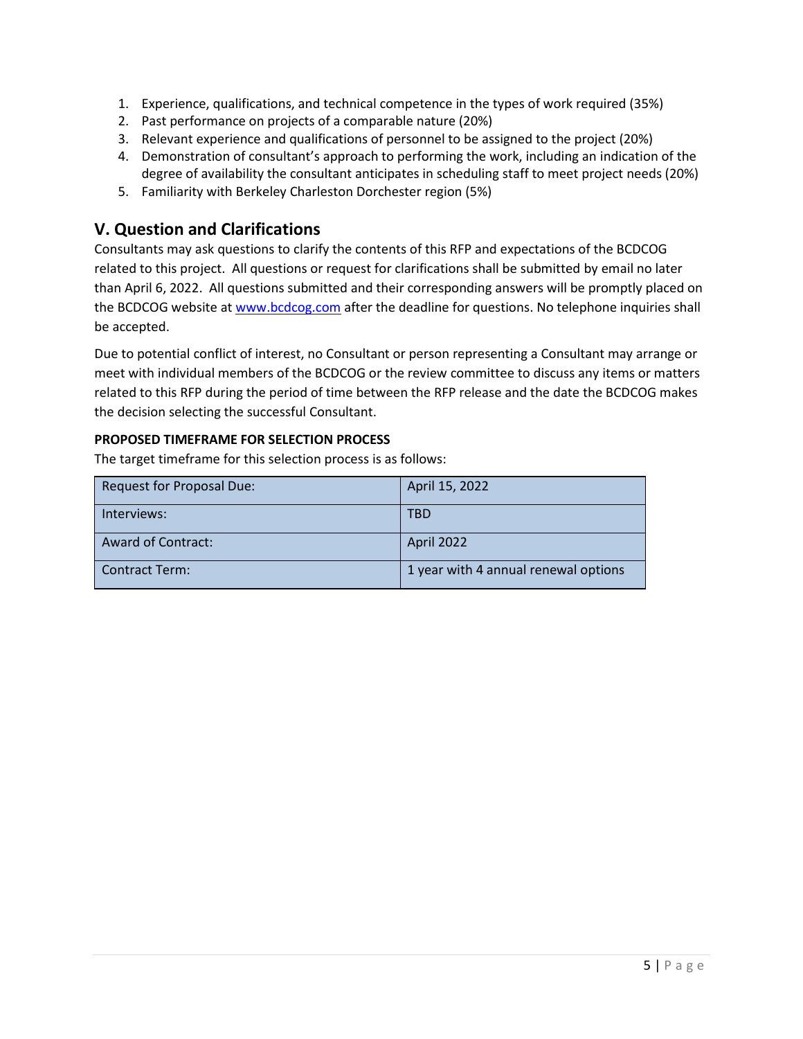- 1. Experience, qualifications, and technical competence in the types of work required (35%)
- 2. Past performance on projects of a comparable nature (20%)
- 3. Relevant experience and qualifications of personnel to be assigned to the project (20%)
- 4. Demonstration of consultant's approach to performing the work, including an indication of the degree of availability the consultant anticipates in scheduling staff to meet project needs (20%)
- 5. Familiarity with Berkeley Charleston Dorchester region (5%)

## **V. Question and Clarifications**

Consultants may ask questions to clarify the contents of this RFP and expectations of the BCDCOG related to this project. All questions or request for clarifications shall be submitted by email no later than April 6, 2022. All questions submitted and their corresponding answers will be promptly placed on the BCDCOG website a[t www.bcdcog.com](http://www.bcdcog.com/) after the deadline for questions. No telephone inquiries shall be accepted.

Due to potential conflict of interest, no Consultant or person representing a Consultant may arrange or meet with individual members of the BCDCOG or the review committee to discuss any items or matters related to this RFP during the period of time between the RFP release and the date the BCDCOG makes the decision selecting the successful Consultant.

### **PROPOSED TIMEFRAME FOR SELECTION PROCESS**

The target timeframe for this selection process is as follows:

| Request for Proposal Due: | April 15, 2022                       |
|---------------------------|--------------------------------------|
| Interviews:               | TBD                                  |
| <b>Award of Contract:</b> | April 2022                           |
| Contract Term:            | 1 year with 4 annual renewal options |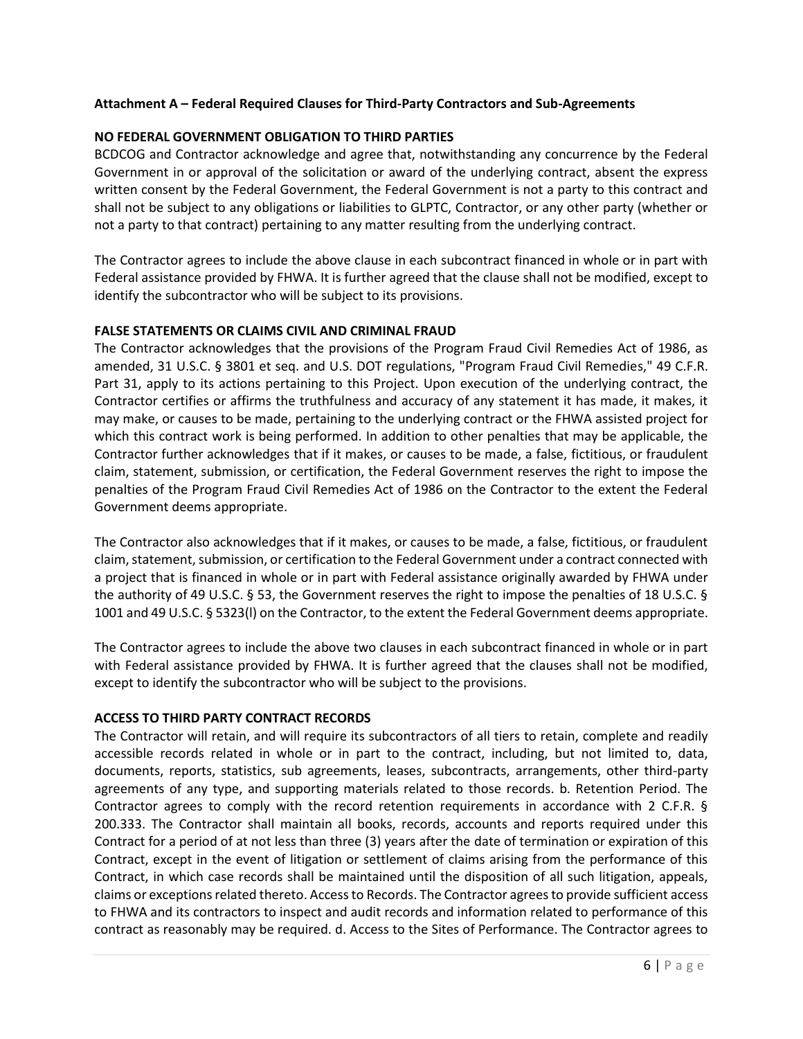### **Attachment A – Federal Required Clauses for Third-Party Contractors and Sub-Agreements**

### **NO FEDERAL GOVERNMENT OBLIGATION TO THIRD PARTIES**

BCDCOG and Contractor acknowledge and agree that, notwithstanding any concurrence by the Federal Government in or approval of the solicitation or award of the underlying contract, absent the express written consent by the Federal Government, the Federal Government is not a party to this contract and shall not be subject to any obligations or liabilities to GLPTC, Contractor, or any other party (whether or not a party to that contract) pertaining to any matter resulting from the underlying contract.

The Contractor agrees to include the above clause in each subcontract financed in whole or in part with Federal assistance provided by FHWA. It is further agreed that the clause shall not be modified, except to identify the subcontractor who will be subject to its provisions.

### **FALSE STATEMENTS OR CLAIMS CIVIL AND CRIMINAL FRAUD**

The Contractor acknowledges that the provisions of the Program Fraud Civil Remedies Act of 1986, as amended, 31 U.S.C. § 3801 et seq. and U.S. DOT regulations, "Program Fraud Civil Remedies," 49 C.F.R. Part 31, apply to its actions pertaining to this Project. Upon execution of the underlying contract, the Contractor certifies or affirms the truthfulness and accuracy of any statement it has made, it makes, it may make, or causes to be made, pertaining to the underlying contract or the FHWA assisted project for which this contract work is being performed. In addition to other penalties that may be applicable, the Contractor further acknowledges that if it makes, or causes to be made, a false, fictitious, or fraudulent claim, statement, submission, or certification, the Federal Government reserves the right to impose the penalties of the Program Fraud Civil Remedies Act of 1986 on the Contractor to the extent the Federal Government deems appropriate.

The Contractor also acknowledges that if it makes, or causes to be made, a false, fictitious, or fraudulent claim, statement, submission, or certification to the Federal Government under a contract connected with a project that is financed in whole or in part with Federal assistance originally awarded by FHWA under the authority of 49 U.S.C. § 53, the Government reserves the right to impose the penalties of 18 U.S.C. § 1001 and 49 U.S.C. § 5323(l) on the Contractor, to the extent the Federal Government deems appropriate.

The Contractor agrees to include the above two clauses in each subcontract financed in whole or in part with Federal assistance provided by FHWA. It is further agreed that the clauses shall not be modified, except to identify the subcontractor who will be subject to the provisions.

### **ACCESS TO THIRD PARTY CONTRACT RECORDS**

The Contractor will retain, and will require its subcontractors of all tiers to retain, complete and readily accessible records related in whole or in part to the contract, including, but not limited to, data, documents, reports, statistics, sub agreements, leases, subcontracts, arrangements, other third-party agreements of any type, and supporting materials related to those records. b. Retention Period. The Contractor agrees to comply with the record retention requirements in accordance with 2 C.F.R. § 200.333. The Contractor shall maintain all books, records, accounts and reports required under this Contract for a period of at not less than three (3) years after the date of termination or expiration of this Contract, except in the event of litigation or settlement of claims arising from the performance of this Contract, in which case records shall be maintained until the disposition of all such litigation, appeals, claims or exceptions related thereto. Access to Records. The Contractor agrees to provide sufficient access to FHWA and its contractors to inspect and audit records and information related to performance of this contract as reasonably may be required. d. Access to the Sites of Performance. The Contractor agrees to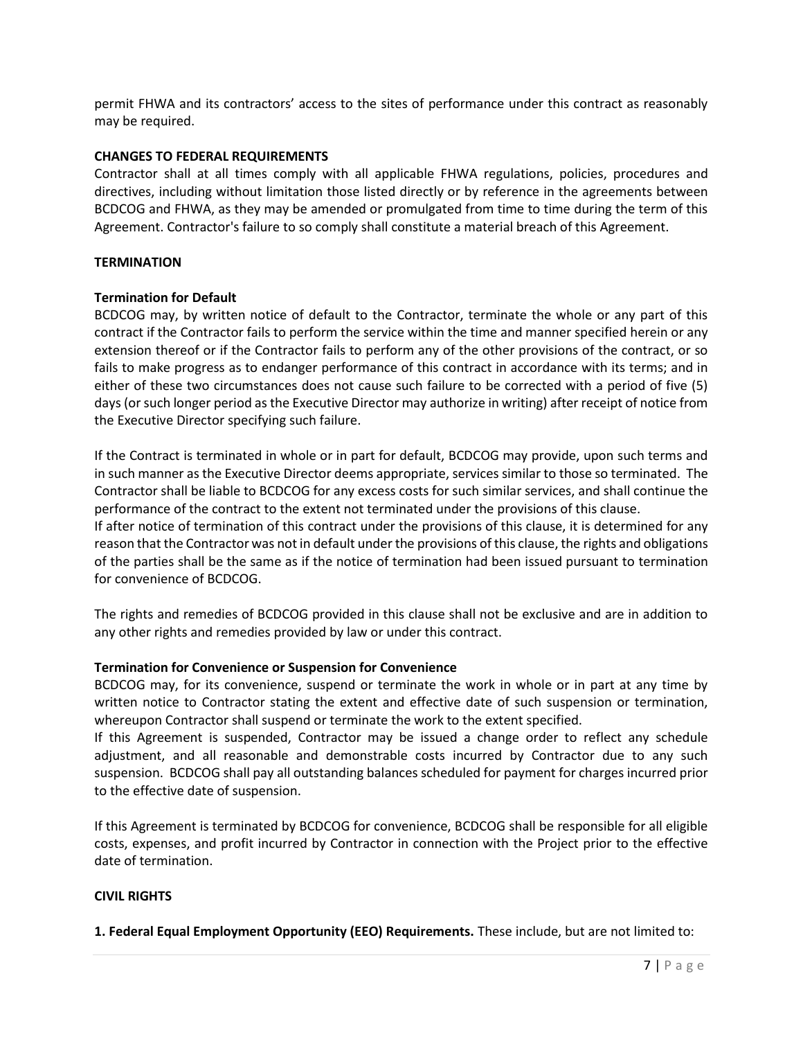permit FHWA and its contractors' access to the sites of performance under this contract as reasonably may be required.

### **CHANGES TO FEDERAL REQUIREMENTS**

Contractor shall at all times comply with all applicable FHWA regulations, policies, procedures and directives, including without limitation those listed directly or by reference in the agreements between BCDCOG and FHWA, as they may be amended or promulgated from time to time during the term of this Agreement. Contractor's failure to so comply shall constitute a material breach of this Agreement.

### **TERMINATION**

### **Termination for Default**

BCDCOG may, by written notice of default to the Contractor, terminate the whole or any part of this contract if the Contractor fails to perform the service within the time and manner specified herein or any extension thereof or if the Contractor fails to perform any of the other provisions of the contract, or so fails to make progress as to endanger performance of this contract in accordance with its terms; and in either of these two circumstances does not cause such failure to be corrected with a period of five (5) days (or such longer period as the Executive Director may authorize in writing) after receipt of notice from the Executive Director specifying such failure.

If the Contract is terminated in whole or in part for default, BCDCOG may provide, upon such terms and in such manner as the Executive Director deems appropriate, services similar to those so terminated. The Contractor shall be liable to BCDCOG for any excess costs for such similar services, and shall continue the performance of the contract to the extent not terminated under the provisions of this clause.

If after notice of termination of this contract under the provisions of this clause, it is determined for any reason that the Contractor was not in default under the provisions of this clause, the rights and obligations of the parties shall be the same as if the notice of termination had been issued pursuant to termination for convenience of BCDCOG.

The rights and remedies of BCDCOG provided in this clause shall not be exclusive and are in addition to any other rights and remedies provided by law or under this contract.

### **Termination for Convenience or Suspension for Convenience**

BCDCOG may, for its convenience, suspend or terminate the work in whole or in part at any time by written notice to Contractor stating the extent and effective date of such suspension or termination, whereupon Contractor shall suspend or terminate the work to the extent specified.

If this Agreement is suspended, Contractor may be issued a change order to reflect any schedule adjustment, and all reasonable and demonstrable costs incurred by Contractor due to any such suspension. BCDCOG shall pay all outstanding balances scheduled for payment for charges incurred prior to the effective date of suspension.

If this Agreement is terminated by BCDCOG for convenience, BCDCOG shall be responsible for all eligible costs, expenses, and profit incurred by Contractor in connection with the Project prior to the effective date of termination.

### **CIVIL RIGHTS**

**1. Federal Equal Employment Opportunity (EEO) Requirements.** These include, but are not limited to: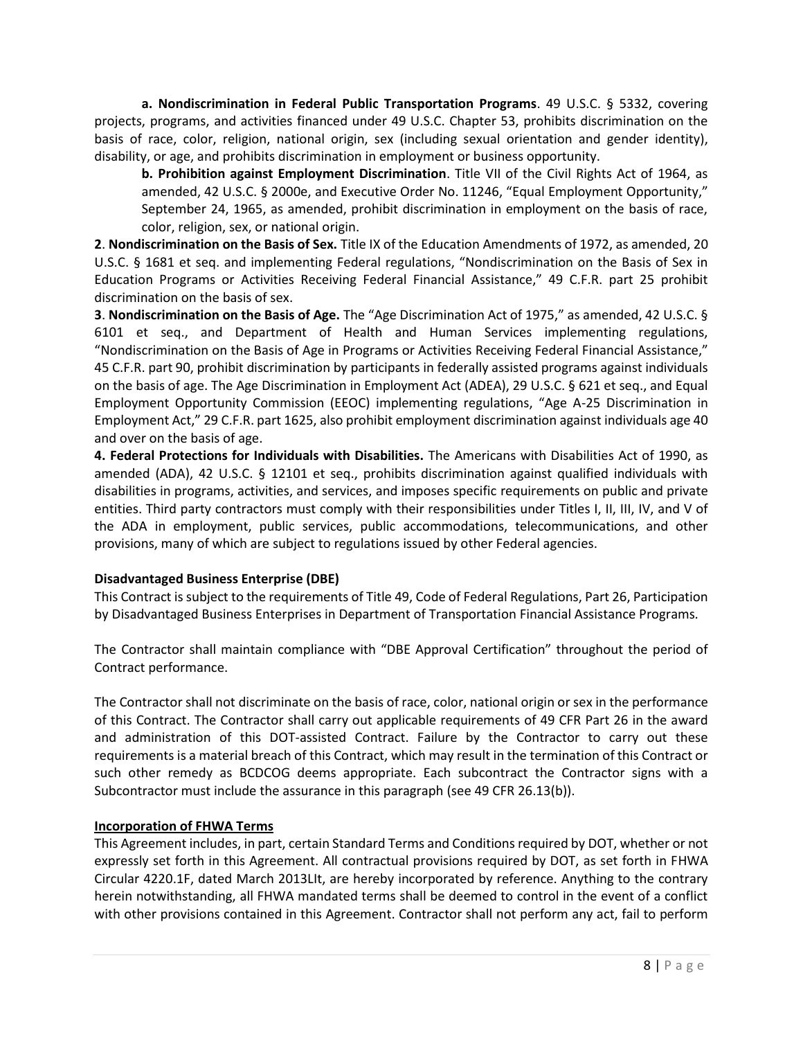**a. Nondiscrimination in Federal Public Transportation Programs**. 49 U.S.C. § 5332, covering projects, programs, and activities financed under 49 U.S.C. Chapter 53, prohibits discrimination on the basis of race, color, religion, national origin, sex (including sexual orientation and gender identity), disability, or age, and prohibits discrimination in employment or business opportunity.

**b. Prohibition against Employment Discrimination**. Title VII of the Civil Rights Act of 1964, as amended, 42 U.S.C. § 2000e, and Executive Order No. 11246, "Equal Employment Opportunity," September 24, 1965, as amended, prohibit discrimination in employment on the basis of race, color, religion, sex, or national origin.

**2**. **Nondiscrimination on the Basis of Sex.** Title IX of the Education Amendments of 1972, as amended, 20 U.S.C. § 1681 et seq. and implementing Federal regulations, "Nondiscrimination on the Basis of Sex in Education Programs or Activities Receiving Federal Financial Assistance," 49 C.F.R. part 25 prohibit discrimination on the basis of sex.

**3**. **Nondiscrimination on the Basis of Age.** The "Age Discrimination Act of 1975," as amended, 42 U.S.C. § 6101 et seq., and Department of Health and Human Services implementing regulations, "Nondiscrimination on the Basis of Age in Programs or Activities Receiving Federal Financial Assistance," 45 C.F.R. part 90, prohibit discrimination by participants in federally assisted programs against individuals on the basis of age. The Age Discrimination in Employment Act (ADEA), 29 U.S.C. § 621 et seq., and Equal Employment Opportunity Commission (EEOC) implementing regulations, "Age A-25 Discrimination in Employment Act," 29 C.F.R. part 1625, also prohibit employment discrimination against individuals age 40 and over on the basis of age.

**4. Federal Protections for Individuals with Disabilities.** The Americans with Disabilities Act of 1990, as amended (ADA), 42 U.S.C. § 12101 et seq., prohibits discrimination against qualified individuals with disabilities in programs, activities, and services, and imposes specific requirements on public and private entities. Third party contractors must comply with their responsibilities under Titles I, II, III, IV, and V of the ADA in employment, public services, public accommodations, telecommunications, and other provisions, many of which are subject to regulations issued by other Federal agencies.

### **Disadvantaged Business Enterprise (DBE)**

This Contract is subject to the requirements of Title 49, Code of Federal Regulations, Part 26, Participation by Disadvantaged Business Enterprises in Department of Transportation Financial Assistance Programs*.* 

The Contractor shall maintain compliance with "DBE Approval Certification" throughout the period of Contract performance.

The Contractor shall not discriminate on the basis of race, color, national origin or sex in the performance of this Contract. The Contractor shall carry out applicable requirements of 49 CFR Part 26 in the award and administration of this DOT-assisted Contract. Failure by the Contractor to carry out these requirements is a material breach of this Contract, which may result in the termination of this Contract or such other remedy as BCDCOG deems appropriate. Each subcontract the Contractor signs with a Subcontractor must include the assurance in this paragraph (see 49 CFR 26.13(b)).

### **Incorporation of FHWA Terms**

This Agreement includes, in part, certain Standard Terms and Conditions required by DOT, whether or not expressly set forth in this Agreement. All contractual provisions required by DOT, as set forth in FHWA Circular 4220.1F, dated March 2013LIt, are hereby incorporated by reference. Anything to the contrary herein notwithstanding, all FHWA mandated terms shall be deemed to control in the event of a conflict with other provisions contained in this Agreement. Contractor shall not perform any act, fail to perform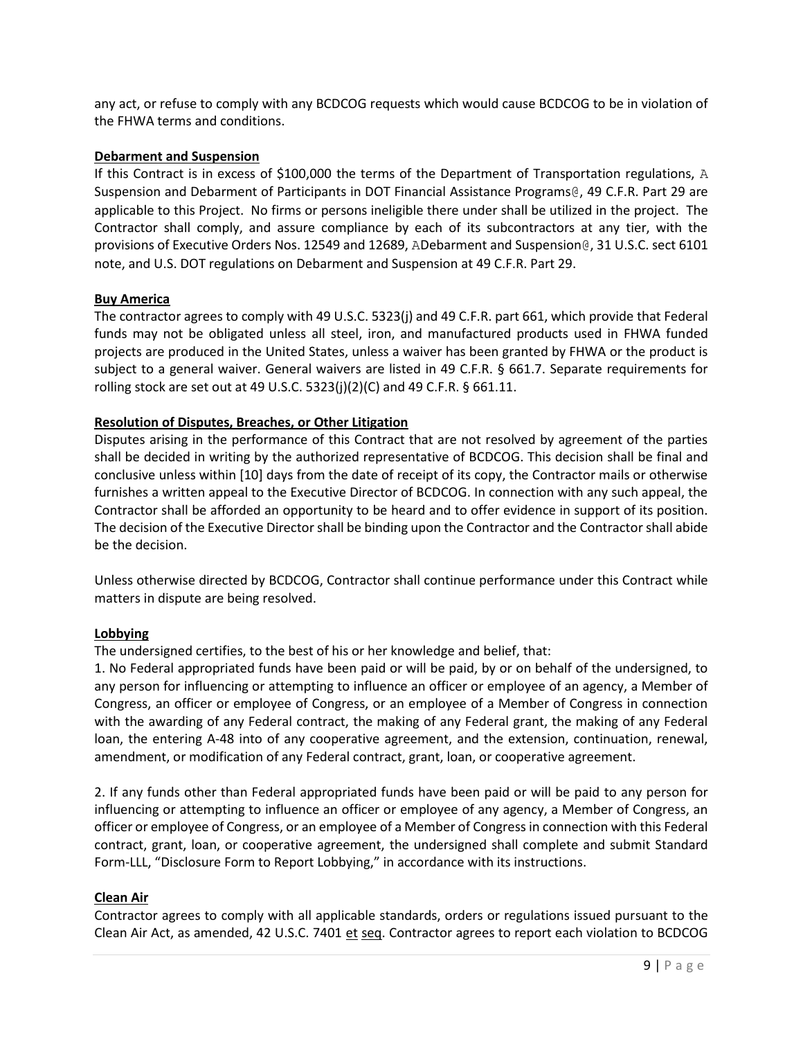any act, or refuse to comply with any BCDCOG requests which would cause BCDCOG to be in violation of the FHWA terms and conditions.

### **Debarment and Suspension**

If this Contract is in excess of \$100,000 the terms of the Department of Transportation regulations, A Suspension and Debarment of Participants in DOT Financial Assistance Programs@, 49 C.F.R. Part 29 are applicable to this Project. No firms or persons ineligible there under shall be utilized in the project. The Contractor shall comply, and assure compliance by each of its subcontractors at any tier, with the provisions of Executive Orders Nos. 12549 and 12689, ADebarment and Suspension@, 31 U.S.C. sect 6101 note, and U.S. DOT regulations on Debarment and Suspension at 49 C.F.R. Part 29.

### **Buy America**

The contractor agrees to comply with 49 U.S.C. 5323(j) and 49 C.F.R. part 661, which provide that Federal funds may not be obligated unless all steel, iron, and manufactured products used in FHWA funded projects are produced in the United States, unless a waiver has been granted by FHWA or the product is subject to a general waiver. General waivers are listed in 49 C.F.R. § 661.7. Separate requirements for rolling stock are set out at 49 U.S.C. 5323(j)(2)(C) and 49 C.F.R. § 661.11.

### **Resolution of Disputes, Breaches, or Other Litigation**

Disputes arising in the performance of this Contract that are not resolved by agreement of the parties shall be decided in writing by the authorized representative of BCDCOG. This decision shall be final and conclusive unless within [10] days from the date of receipt of its copy, the Contractor mails or otherwise furnishes a written appeal to the Executive Director of BCDCOG. In connection with any such appeal, the Contractor shall be afforded an opportunity to be heard and to offer evidence in support of its position. The decision of the Executive Director shall be binding upon the Contractor and the Contractor shall abide be the decision.

Unless otherwise directed by BCDCOG, Contractor shall continue performance under this Contract while matters in dispute are being resolved.

### **Lobbying**

The undersigned certifies, to the best of his or her knowledge and belief, that:

1. No Federal appropriated funds have been paid or will be paid, by or on behalf of the undersigned, to any person for influencing or attempting to influence an officer or employee of an agency, a Member of Congress, an officer or employee of Congress, or an employee of a Member of Congress in connection with the awarding of any Federal contract, the making of any Federal grant, the making of any Federal loan, the entering A-48 into of any cooperative agreement, and the extension, continuation, renewal, amendment, or modification of any Federal contract, grant, loan, or cooperative agreement.

2. If any funds other than Federal appropriated funds have been paid or will be paid to any person for influencing or attempting to influence an officer or employee of any agency, a Member of Congress, an officer or employee of Congress, or an employee of a Member of Congress in connection with this Federal contract, grant, loan, or cooperative agreement, the undersigned shall complete and submit Standard Form-LLL, "Disclosure Form to Report Lobbying," in accordance with its instructions.

### **Clean Air**

Contractor agrees to comply with all applicable standards, orders or regulations issued pursuant to the Clean Air Act, as amended, 42 U.S.C. 7401 et seq. Contractor agrees to report each violation to BCDCOG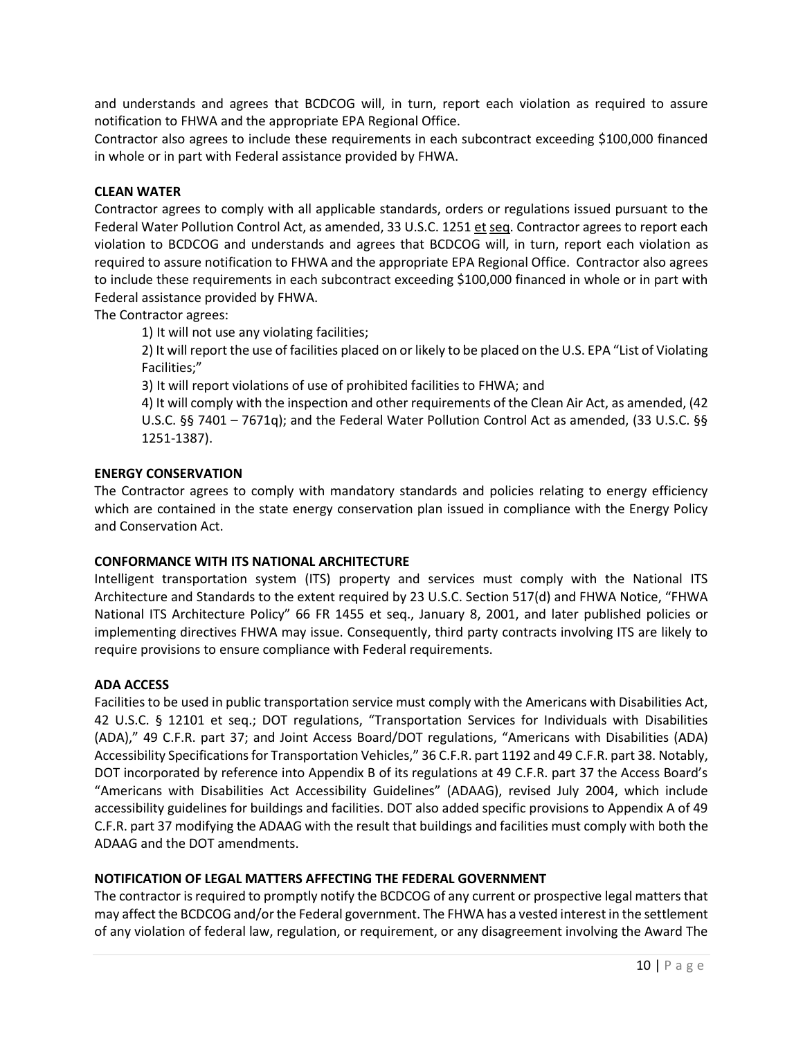and understands and agrees that BCDCOG will, in turn, report each violation as required to assure notification to FHWA and the appropriate EPA Regional Office.

Contractor also agrees to include these requirements in each subcontract exceeding \$100,000 financed in whole or in part with Federal assistance provided by FHWA.

### **CLEAN WATER**

Contractor agrees to comply with all applicable standards, orders or regulations issued pursuant to the Federal Water Pollution Control Act, as amended, 33 U.S.C. 1251 et seq. Contractor agrees to report each violation to BCDCOG and understands and agrees that BCDCOG will, in turn, report each violation as required to assure notification to FHWA and the appropriate EPA Regional Office. Contractor also agrees to include these requirements in each subcontract exceeding \$100,000 financed in whole or in part with Federal assistance provided by FHWA.

The Contractor agrees:

1) It will not use any violating facilities;

2) It will report the use of facilities placed on or likely to be placed on the U.S. EPA "List of Violating Facilities;"

3) It will report violations of use of prohibited facilities to FHWA; and

4) It will comply with the inspection and other requirements of the Clean Air Act, as amended, (42 U.S.C. §§ 7401 – 7671q); and the Federal Water Pollution Control Act as amended, (33 U.S.C. §§ 1251-1387).

### **ENERGY CONSERVATION**

The Contractor agrees to comply with mandatory standards and policies relating to energy efficiency which are contained in the state energy conservation plan issued in compliance with the Energy Policy and Conservation Act.

### **CONFORMANCE WITH ITS NATIONAL ARCHITECTURE**

Intelligent transportation system (ITS) property and services must comply with the National ITS Architecture and Standards to the extent required by 23 U.S.C. Section 517(d) and FHWA Notice, "FHWA National ITS Architecture Policy" 66 FR 1455 et seq., January 8, 2001, and later published policies or implementing directives FHWA may issue. Consequently, third party contracts involving ITS are likely to require provisions to ensure compliance with Federal requirements.

### **ADA ACCESS**

Facilities to be used in public transportation service must comply with the Americans with Disabilities Act, 42 U.S.C. § 12101 et seq.; DOT regulations, "Transportation Services for Individuals with Disabilities (ADA)," 49 C.F.R. part 37; and Joint Access Board/DOT regulations, "Americans with Disabilities (ADA) Accessibility Specifications for Transportation Vehicles," 36 C.F.R. part 1192 and 49 C.F.R. part 38. Notably, DOT incorporated by reference into Appendix B of its regulations at 49 C.F.R. part 37 the Access Board's "Americans with Disabilities Act Accessibility Guidelines" (ADAAG), revised July 2004, which include accessibility guidelines for buildings and facilities. DOT also added specific provisions to Appendix A of 49 C.F.R. part 37 modifying the ADAAG with the result that buildings and facilities must comply with both the ADAAG and the DOT amendments.

### **NOTIFICATION OF LEGAL MATTERS AFFECTING THE FEDERAL GOVERNMENT**

The contractor is required to promptly notify the BCDCOG of any current or prospective legal matters that may affect the BCDCOG and/or the Federal government. The FHWA has a vested interest in the settlement of any violation of federal law, regulation, or requirement, or any disagreement involving the Award The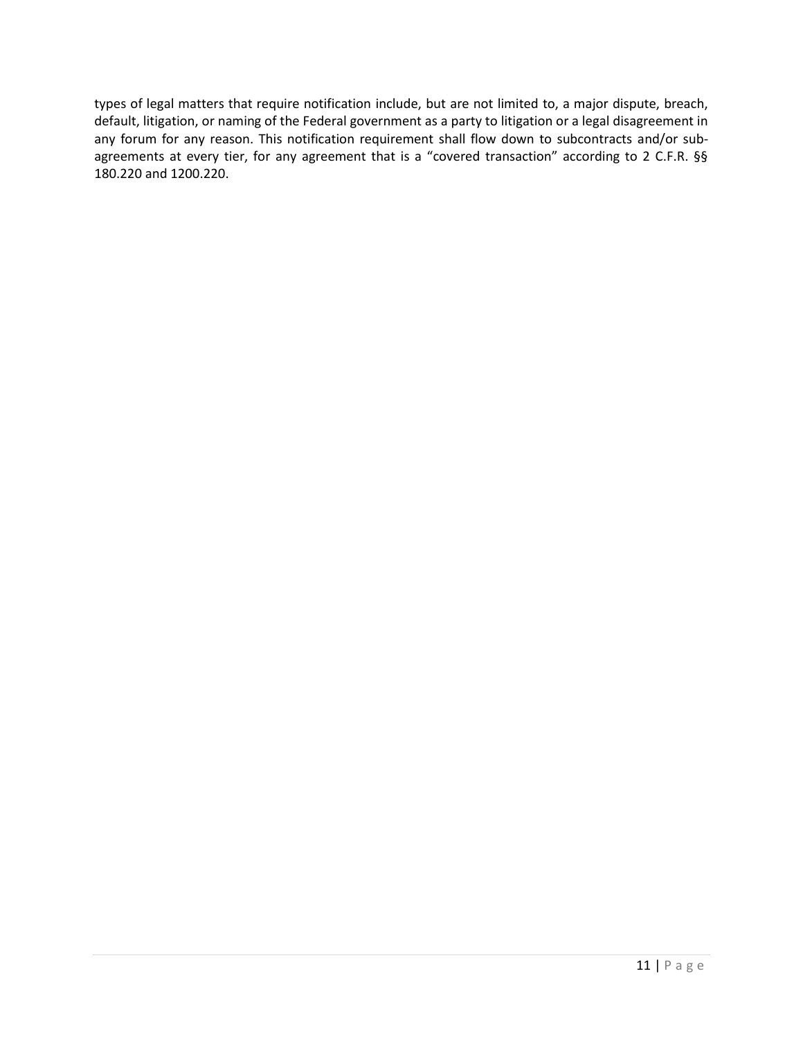types of legal matters that require notification include, but are not limited to, a major dispute, breach, default, litigation, or naming of the Federal government as a party to litigation or a legal disagreement in any forum for any reason. This notification requirement shall flow down to subcontracts and/or subagreements at every tier, for any agreement that is a "covered transaction" according to 2 C.F.R. §§ 180.220 and 1200.220.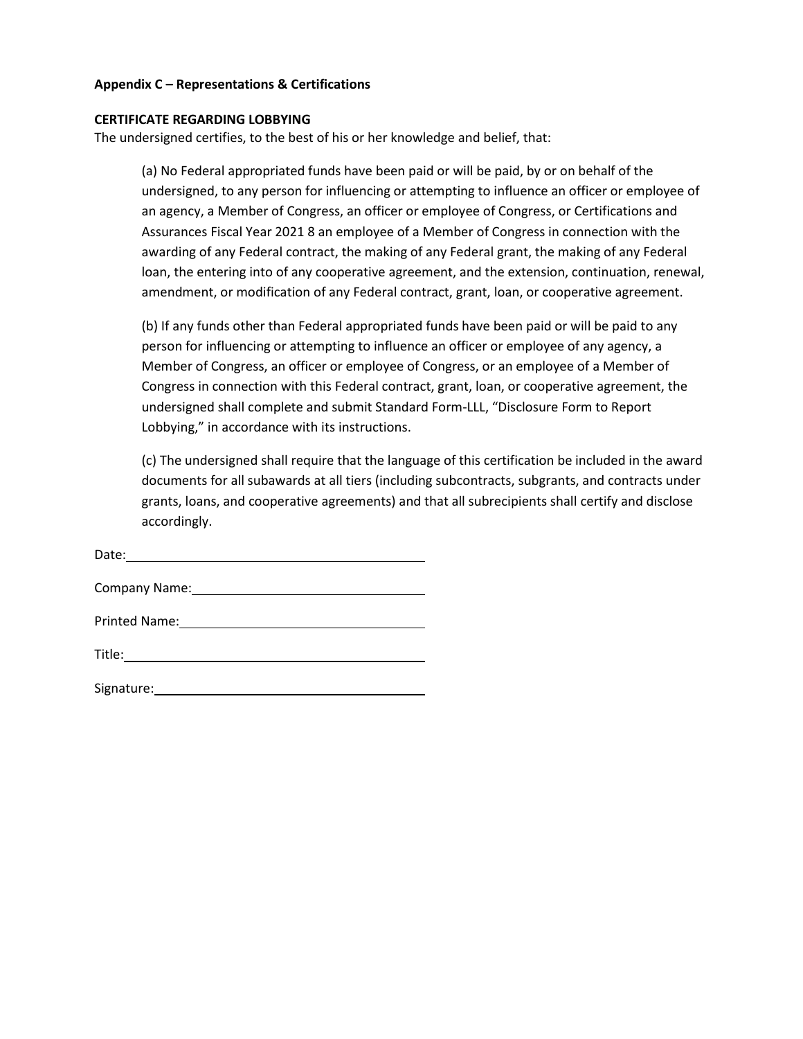### **Appendix C – Representations & Certifications**

### **CERTIFICATE REGARDING LOBBYING**

The undersigned certifies, to the best of his or her knowledge and belief, that:

(a) No Federal appropriated funds have been paid or will be paid, by or on behalf of the undersigned, to any person for influencing or attempting to influence an officer or employee of an agency, a Member of Congress, an officer or employee of Congress, or Certifications and Assurances Fiscal Year 2021 8 an employee of a Member of Congress in connection with the awarding of any Federal contract, the making of any Federal grant, the making of any Federal loan, the entering into of any cooperative agreement, and the extension, continuation, renewal, amendment, or modification of any Federal contract, grant, loan, or cooperative agreement.

(b) If any funds other than Federal appropriated funds have been paid or will be paid to any person for influencing or attempting to influence an officer or employee of any agency, a Member of Congress, an officer or employee of Congress, or an employee of a Member of Congress in connection with this Federal contract, grant, loan, or cooperative agreement, the undersigned shall complete and submit Standard Form-LLL, "Disclosure Form to Report Lobbying," in accordance with its instructions.

(c) The undersigned shall require that the language of this certification be included in the award documents for all subawards at all tiers (including subcontracts, subgrants, and contracts under grants, loans, and cooperative agreements) and that all subrecipients shall certify and disclose accordingly.

Date: Company Name:

Printed Name:

| Signature: |  |  |
|------------|--|--|
|            |  |  |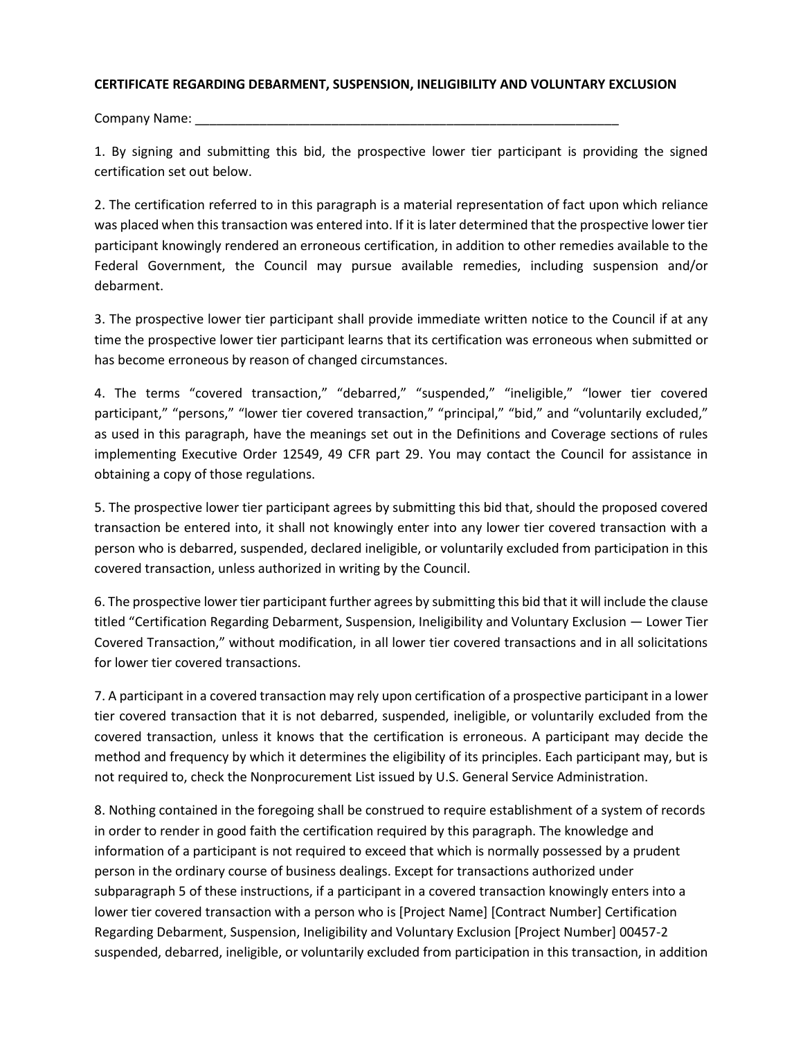### **CERTIFICATE REGARDING DEBARMENT, SUSPENSION, INELIGIBILITY AND VOLUNTARY EXCLUSION**

Company Name: \_\_

1. By signing and submitting this bid, the prospective lower tier participant is providing the signed certification set out below.

2. The certification referred to in this paragraph is a material representation of fact upon which reliance was placed when this transaction was entered into. If it is later determined that the prospective lower tier participant knowingly rendered an erroneous certification, in addition to other remedies available to the Federal Government, the Council may pursue available remedies, including suspension and/or debarment.

3. The prospective lower tier participant shall provide immediate written notice to the Council if at any time the prospective lower tier participant learns that its certification was erroneous when submitted or has become erroneous by reason of changed circumstances.

4. The terms "covered transaction," "debarred," "suspended," "ineligible," "lower tier covered participant," "persons," "lower tier covered transaction," "principal," "bid," and "voluntarily excluded," as used in this paragraph, have the meanings set out in the Definitions and Coverage sections of rules implementing Executive Order 12549, 49 CFR part 29. You may contact the Council for assistance in obtaining a copy of those regulations.

5. The prospective lower tier participant agrees by submitting this bid that, should the proposed covered transaction be entered into, it shall not knowingly enter into any lower tier covered transaction with a person who is debarred, suspended, declared ineligible, or voluntarily excluded from participation in this covered transaction, unless authorized in writing by the Council.

6. The prospective lower tier participant further agrees by submitting this bid that it will include the clause titled "Certification Regarding Debarment, Suspension, Ineligibility and Voluntary Exclusion — Lower Tier Covered Transaction," without modification, in all lower tier covered transactions and in all solicitations for lower tier covered transactions.

7. A participant in a covered transaction may rely upon certification of a prospective participant in a lower tier covered transaction that it is not debarred, suspended, ineligible, or voluntarily excluded from the covered transaction, unless it knows that the certification is erroneous. A participant may decide the method and frequency by which it determines the eligibility of its principles. Each participant may, but is not required to, check the Nonprocurement List issued by U.S. General Service Administration.

8. Nothing contained in the foregoing shall be construed to require establishment of a system of records in order to render in good faith the certification required by this paragraph. The knowledge and information of a participant is not required to exceed that which is normally possessed by a prudent person in the ordinary course of business dealings. Except for transactions authorized under subparagraph 5 of these instructions, if a participant in a covered transaction knowingly enters into a lower tier covered transaction with a person who is [Project Name] [Contract Number] Certification Regarding Debarment, Suspension, Ineligibility and Voluntary Exclusion [Project Number] 00457-2 suspended, debarred, ineligible, or voluntarily excluded from participation in this transaction, in addition